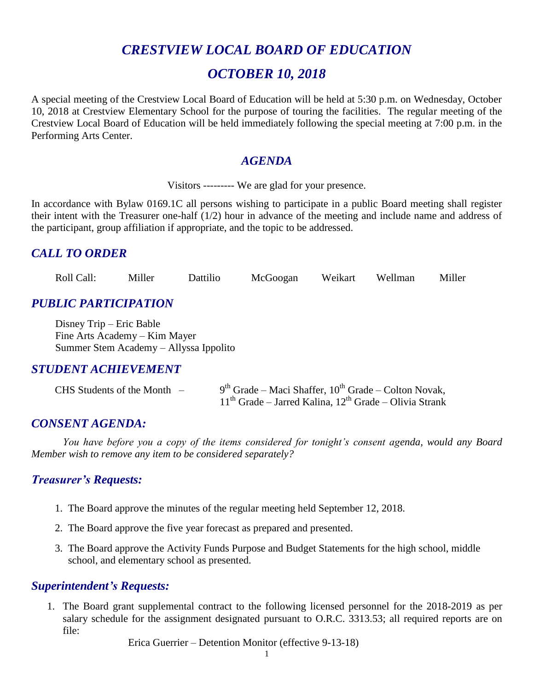# *CRESTVIEW LOCAL BOARD OF EDUCATION*

# *OCTOBER 10, 2018*

A special meeting of the Crestview Local Board of Education will be held at 5:30 p.m. on Wednesday, October 10, 2018 at Crestview Elementary School for the purpose of touring the facilities. The regular meeting of the Crestview Local Board of Education will be held immediately following the special meeting at 7:00 p.m. in the Performing Arts Center.

### *AGENDA*

Visitors --------- We are glad for your presence.

In accordance with Bylaw 0169.1C all persons wishing to participate in a public Board meeting shall register their intent with the Treasurer one-half (1/2) hour in advance of the meeting and include name and address of the participant, group affiliation if appropriate, and the topic to be addressed.

### *CALL TO ORDER*

Roll Call: Miller Dattilio McGoogan Weikart Wellman Miller

## *PUBLIC PARTICIPATION*

Disney Trip – Eric Bable Fine Arts Academy – Kim Mayer Summer Stem Academy – Allyssa Ippolito

### *STUDENT ACHIEVEMENT*

| $CHS$ Students of the Month $-$ | $9th$ Grade – Maci Shaffer, $10th$ Grade – Colton Novak,   |
|---------------------------------|------------------------------------------------------------|
|                                 | $11th$ Grade – Jarred Kalina, $12th$ Grade – Olivia Strank |

### *CONSENT AGENDA:*

*You have before you a copy of the items considered for tonight's consent agenda, would any Board Member wish to remove any item to be considered separately?*

#### *Treasurer's Requests:*

- 1. The Board approve the minutes of the regular meeting held September 12, 2018.
- 2. The Board approve the five year forecast as prepared and presented.
- 3. The Board approve the Activity Funds Purpose and Budget Statements for the high school, middle school, and elementary school as presented.

### *Superintendent's Requests:*

1. The Board grant supplemental contract to the following licensed personnel for the 2018-2019 as per salary schedule for the assignment designated pursuant to O.R.C. 3313.53; all required reports are on file:

Erica Guerrier – Detention Monitor (effective 9-13-18)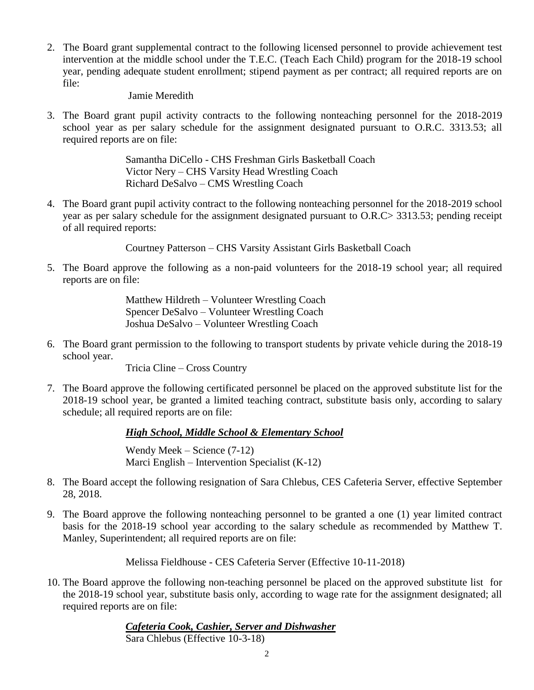2. The Board grant supplemental contract to the following licensed personnel to provide achievement test intervention at the middle school under the T.E.C. (Teach Each Child) program for the 2018-19 school year, pending adequate student enrollment; stipend payment as per contract; all required reports are on file:

#### Jamie Meredith

3. The Board grant pupil activity contracts to the following nonteaching personnel for the 2018-2019 school year as per salary schedule for the assignment designated pursuant to O.R.C. 3313.53; all required reports are on file:

> Samantha DiCello - CHS Freshman Girls Basketball Coach Victor Nery – CHS Varsity Head Wrestling Coach Richard DeSalvo – CMS Wrestling Coach

4. The Board grant pupil activity contract to the following nonteaching personnel for the 2018-2019 school year as per salary schedule for the assignment designated pursuant to O.R.C> 3313.53; pending receipt of all required reports:

Courtney Patterson – CHS Varsity Assistant Girls Basketball Coach

5. The Board approve the following as a non-paid volunteers for the 2018-19 school year; all required reports are on file:

> Matthew Hildreth – Volunteer Wrestling Coach Spencer DeSalvo – Volunteer Wrestling Coach Joshua DeSalvo – Volunteer Wrestling Coach

6. The Board grant permission to the following to transport students by private vehicle during the 2018-19 school year.

Tricia Cline – Cross Country

7. The Board approve the following certificated personnel be placed on the approved substitute list for the 2018-19 school year, be granted a limited teaching contract, substitute basis only, according to salary schedule; all required reports are on file:

#### *High School, Middle School & Elementary School*

Wendy Meek – Science (7-12) Marci English – Intervention Specialist (K-12)

- 8. The Board accept the following resignation of Sara Chlebus, CES Cafeteria Server, effective September 28, 2018.
- 9. The Board approve the following nonteaching personnel to be granted a one (1) year limited contract basis for the 2018-19 school year according to the salary schedule as recommended by Matthew T. Manley, Superintendent; all required reports are on file:

Melissa Fieldhouse - CES Cafeteria Server (Effective 10-11-2018)

10. The Board approve the following non-teaching personnel be placed on the approved substitute list for the 2018-19 school year, substitute basis only, according to wage rate for the assignment designated; all required reports are on file:

> *Cafeteria Cook, Cashier, Server and Dishwasher* Sara Chlebus (Effective 10-3-18)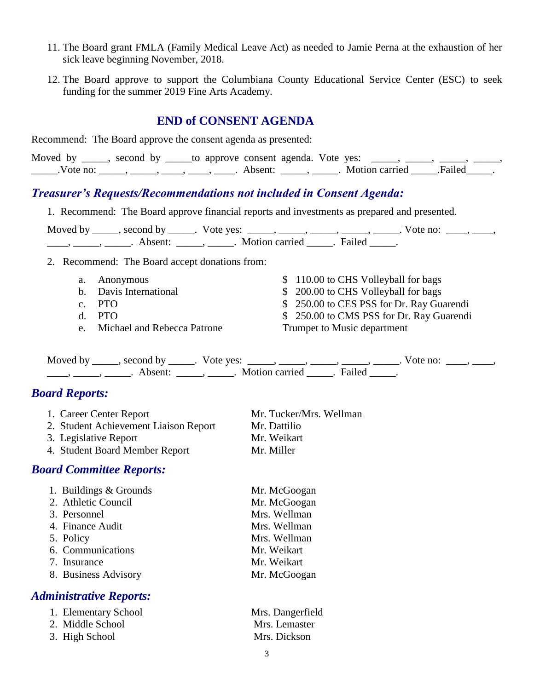- 11. The Board grant FMLA (Family Medical Leave Act) as needed to Jamie Perna at the exhaustion of her sick leave beginning November, 2018.
- 12. The Board approve to support the Columbiana County Educational Service Center (ESC) to seek funding for the summer 2019 Fine Arts Academy.

### **END of CONSENT AGENDA**

| Recommend: The Board approve the consent agenda as presented:                                                         |                                                                                                                                                                                                     |  |  |
|-----------------------------------------------------------------------------------------------------------------------|-----------------------------------------------------------------------------------------------------------------------------------------------------------------------------------------------------|--|--|
|                                                                                                                       | Moved by _____, second by _____to approve consent agenda. Vote yes: _____, _____, _____, _____,<br>Vote no: _____, ____, ____, ____, ____, Absent: ____, _____. Motion carried _____. Failed _____. |  |  |
| <b>Treasurer's Requests/Recommendations not included in Consent Agenda:</b>                                           |                                                                                                                                                                                                     |  |  |
|                                                                                                                       | 1. Recommend: The Board approve financial reports and investments as prepared and presented.                                                                                                        |  |  |
|                                                                                                                       | Moved by _____, second by _____. Vote yes: _____, _____, _____, _____, _____. Vote no: ____, _____,                                                                                                 |  |  |
|                                                                                                                       |                                                                                                                                                                                                     |  |  |
| 2. Recommend: The Board accept donations from:                                                                        |                                                                                                                                                                                                     |  |  |
| Anonymous<br>a.                                                                                                       | \$110.00 to CHS Volleyball for bags                                                                                                                                                                 |  |  |
| Davis International<br>$\mathbf b$ .                                                                                  | \$ 200.00 to CHS Volleyball for bags                                                                                                                                                                |  |  |
| <b>PTO</b><br>$C_{\bullet}$                                                                                           | \$ 250.00 to CES PSS for Dr. Ray Guarendi                                                                                                                                                           |  |  |
| <b>PTO</b><br>d.                                                                                                      | 250.00 to CMS PSS for Dr. Ray Guarendi<br>\$                                                                                                                                                        |  |  |
| Michael and Rebecca Patrone<br>e.                                                                                     | Trumpet to Music department                                                                                                                                                                         |  |  |
| <u>_____, _____</u> , _______. Absent: _______, ______. Motion carried ______. Failed _____.<br><b>Board Reports:</b> | Moved by _____, second by _____. Vote yes: _____, _____, _____, _____, _____. Vote no: ____, _____,                                                                                                 |  |  |
| 1. Career Center Report                                                                                               | Mr. Tucker/Mrs. Wellman                                                                                                                                                                             |  |  |
| 2. Student Achievement Liaison Report                                                                                 | Mr. Dattilio                                                                                                                                                                                        |  |  |
| 3. Legislative Report                                                                                                 | Mr. Weikart                                                                                                                                                                                         |  |  |
| 4. Student Board Member Report                                                                                        | Mr. Miller                                                                                                                                                                                          |  |  |
| <b>Board Committee Reports:</b>                                                                                       |                                                                                                                                                                                                     |  |  |
| 1. Buildings & Grounds                                                                                                | Mr. McGoogan                                                                                                                                                                                        |  |  |
| 2. Athletic Council                                                                                                   | Mr. McGoogan                                                                                                                                                                                        |  |  |
| 3. Personnel                                                                                                          | Mrs. Wellman                                                                                                                                                                                        |  |  |
| 4. Finance Audit                                                                                                      | Mrs. Wellman                                                                                                                                                                                        |  |  |
| 5. Policy                                                                                                             | Mrs. Wellman                                                                                                                                                                                        |  |  |
| 6. Communications                                                                                                     | Mr. Weikart                                                                                                                                                                                         |  |  |
| 7. Insurance                                                                                                          | Mr. Weikart                                                                                                                                                                                         |  |  |
| 8. Business Advisory                                                                                                  | Mr. McGoogan                                                                                                                                                                                        |  |  |
| <b>Administrative Reports:</b>                                                                                        |                                                                                                                                                                                                     |  |  |
| 1. Elementary School                                                                                                  | Mrs. Dangerfield                                                                                                                                                                                    |  |  |

2. Middle School Mrs. Lemaster

3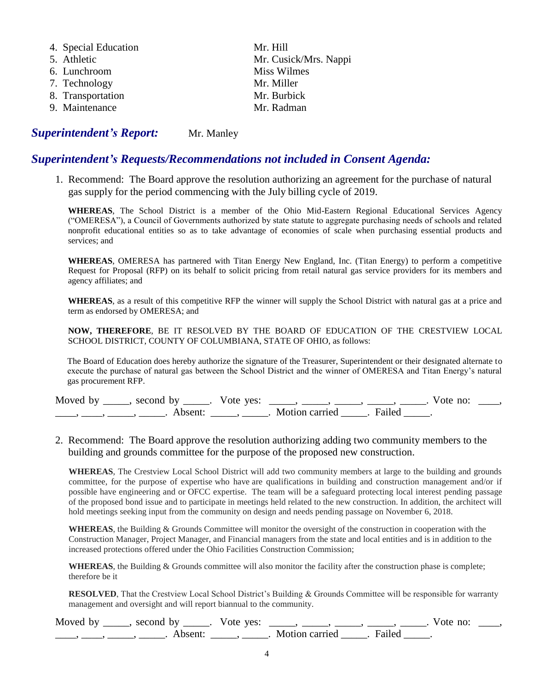| 4. Special Education | Mr. Hill              |
|----------------------|-----------------------|
| 5. Athletic          | Mr. Cusick/Mrs. Nappi |
| 6. Lunchroom         | Miss Wilmes           |
| 7. Technology        | Mr. Miller            |
| 8. Transportation    | Mr. Burbick           |
| 9. Maintenance       | Mr. Radman            |
|                      |                       |

#### **Superintendent's Report:** Mr. Manley

#### *Superintendent's Requests/Recommendations not included in Consent Agenda:*

1. Recommend: The Board approve the resolution authorizing an agreement for the purchase of natural gas supply for the period commencing with the July billing cycle of 2019.

**WHEREAS**, The School District is a member of the Ohio Mid-Eastern Regional Educational Services Agency ("OMERESA"), a Council of Governments authorized by state statute to aggregate purchasing needs of schools and related nonprofit educational entities so as to take advantage of economies of scale when purchasing essential products and services; and

**WHEREAS**, OMERESA has partnered with Titan Energy New England, Inc. (Titan Energy) to perform a competitive Request for Proposal (RFP) on its behalf to solicit pricing from retail natural gas service providers for its members and agency affiliates; and

**WHEREAS**, as a result of this competitive RFP the winner will supply the School District with natural gas at a price and term as endorsed by OMERESA; and

**NOW, THEREFORE**, BE IT RESOLVED BY THE BOARD OF EDUCATION OF THE CRESTVIEW LOCAL SCHOOL DISTRICT, COUNTY OF COLUMBIANA, STATE OF OHIO, as follows:

The Board of Education does hereby authorize the signature of the Treasurer, Superintendent or their designated alternate to execute the purchase of natural gas between the School District and the winner of OMERESA and Titan Energy's natural gas procurement RFP.

| Moved by second by | Vote yes: |                | $\mathbf{n}$<br>'ote |  |
|--------------------|-----------|----------------|----------------------|--|
|                    |           | Motion carried |                      |  |

#### 2. Recommend: The Board approve the resolution authorizing adding two community members to the building and grounds committee for the purpose of the proposed new construction.

**WHEREAS**, The Crestview Local School District will add two community members at large to the building and grounds committee, for the purpose of expertise who have are qualifications in building and construction management and/or if possible have engineering and or OFCC expertise. The team will be a safeguard protecting local interest pending passage of the proposed bond issue and to participate in meetings held related to the new construction. In addition, the architect will hold meetings seeking input from the community on design and needs pending passage on November 6, 2018.

**WHEREAS**, the Building & Grounds Committee will monitor the oversight of the construction in cooperation with the Construction Manager, Project Manager, and Financial managers from the state and local entities and is in addition to the increased protections offered under the Ohio Facilities Construction Commission;

**WHEREAS**, the Building & Grounds committee will also monitor the facility after the construction phase is complete; therefore be it

**RESOLVED**, That the Crestview Local School District's Building & Grounds Committee will be responsible for warranty management and oversight and will report biannual to the community.

| Moved by , second by |          | Vote yes: |                |  | vote no: |  |
|----------------------|----------|-----------|----------------|--|----------|--|
|                      | \ heent_ |           | Motion carried |  |          |  |